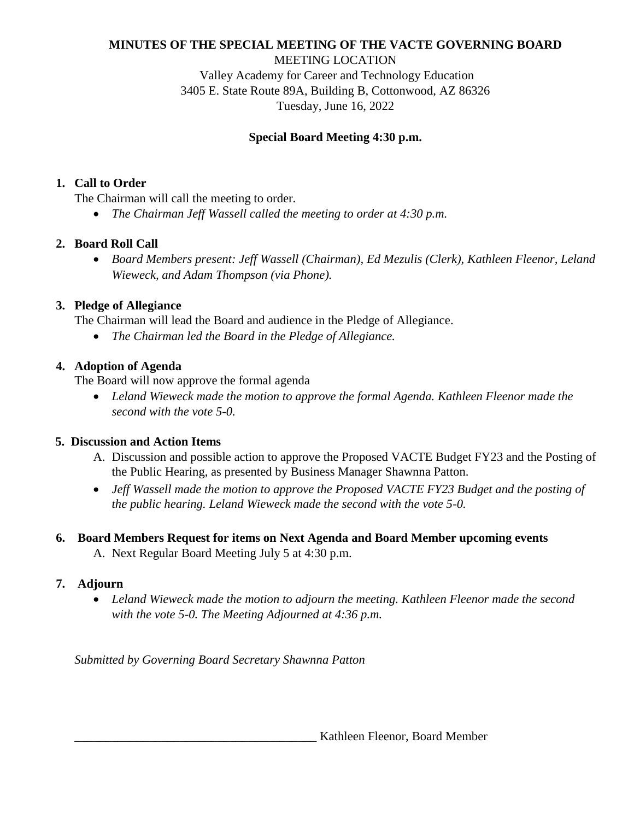# **MINUTES OF THE SPECIAL MEETING OF THE VACTE GOVERNING BOARD**

MEETING LOCATION

Valley Academy for Career and Technology Education 3405 E. State Route 89A, Building B, Cottonwood, AZ 86326 Tuesday, June 16, 2022

### **Special Board Meeting 4:30 p.m.**

### **1. Call to Order**

The Chairman will call the meeting to order.

*The Chairman Jeff Wassell called the meeting to order at 4:30 p.m.* 

## **2. Board Roll Call**

 *Board Members present: Jeff Wassell (Chairman), Ed Mezulis (Clerk), Kathleen Fleenor, Leland Wieweck, and Adam Thompson (via Phone).* 

### **3. Pledge of Allegiance**

The Chairman will lead the Board and audience in the Pledge of Allegiance.

*The Chairman led the Board in the Pledge of Allegiance.* 

### **4. Adoption of Agenda**

The Board will now approve the formal agenda

 *Leland Wieweck made the motion to approve the formal Agenda. Kathleen Fleenor made the second with the vote 5-0.*

## **5. Discussion and Action Items**

- A. Discussion and possible action to approve the Proposed VACTE Budget FY23 and the Posting of the Public Hearing, as presented by Business Manager Shawnna Patton.
- *Jeff Wassell made the motion to approve the Proposed VACTE FY23 Budget and the posting of the public hearing. Leland Wieweck made the second with the vote 5-0.*
- **6. Board Members Request for items on Next Agenda and Board Member upcoming events**
	- A. Next Regular Board Meeting July 5 at 4:30 p.m.

#### **7. Adjourn**

 *Leland Wieweck made the motion to adjourn the meeting. Kathleen Fleenor made the second with the vote 5-0. The Meeting Adjourned at 4:36 p.m.*

*Submitted by Governing Board Secretary Shawnna Patton* 

Kathleen Fleenor, Board Member